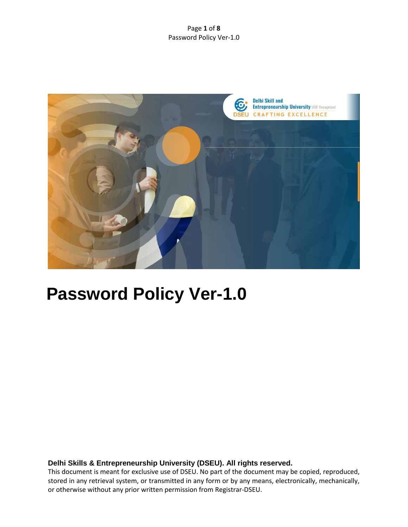#### Page **1** of **8** Password Policy Ver-1.0



# **Password Policy Ver-1.0**

## **Delhi Skills & Entrepreneurship University (DSEU). All rights reserved.**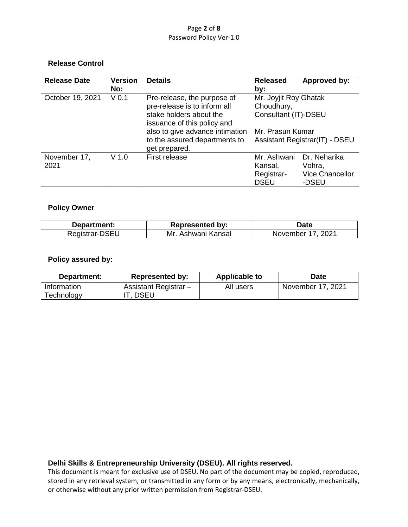#### Page **2** of **8** Password Policy Ver-1.0

# **Release Control**

| <b>Release Date</b> | <b>Version</b>   | <b>Details</b>                  | <b>Released</b>                                             | Approved by:                   |
|---------------------|------------------|---------------------------------|-------------------------------------------------------------|--------------------------------|
|                     | No:              |                                 | by:                                                         |                                |
| October 19, 2021    | V <sub>0.1</sub> | Pre-release, the purpose of     | Mr. Joyjit Roy Ghatak<br>Choudhury,<br>Consultant (IT)-DSEU |                                |
|                     |                  | pre-release is to inform all    |                                                             |                                |
|                     |                  | stake holders about the         |                                                             |                                |
|                     |                  | issuance of this policy and     |                                                             |                                |
|                     |                  | also to give advance intimation | Mr. Prasun Kumar                                            |                                |
|                     |                  | to the assured departments to   |                                                             | Assistant Registrar(IT) - DSEU |
|                     |                  | get prepared.                   |                                                             |                                |
| November 17,        | $V$ 1.0          | First release                   | Mr. Ashwani                                                 | Dr. Neharika                   |
| 2021                |                  |                                 | Kansal,                                                     | Vohra,                         |
|                     |                  |                                 | Registrar-                                                  | <b>Vice Chancellor</b>         |
|                     |                  |                                 | <b>DSEU</b>                                                 | -DSEU                          |

# **Policy Owner**

| Department:    | <b>Represented by:</b> | <b>Date</b>          |
|----------------|------------------------|----------------------|
| Registrar-DSEU | Mr.<br>Ashwani Kansal  | 2021<br>November 17. |

## **Policy assured by:**

| Department:               | <b>Represented by:</b>          | <b>Applicable to</b> | Date              |
|---------------------------|---------------------------------|----------------------|-------------------|
| Information<br>Technology | Assistant Registrar -<br>. DSEU | All users            | November 17, 2021 |

## **Delhi Skills & Entrepreneurship University (DSEU). All rights reserved.**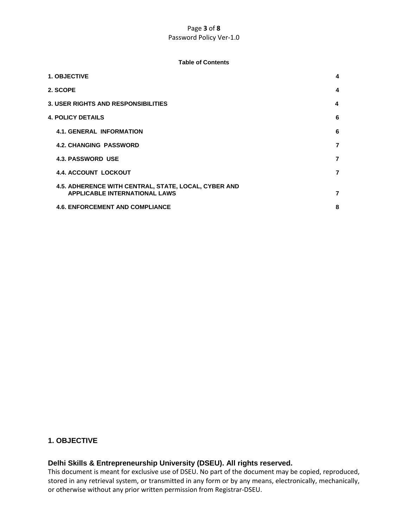#### Page **3** of **8** Password Policy Ver-1.0

#### **Table of Contents**

| <b>1. OBJECTIVE</b>                                                                          | 4              |
|----------------------------------------------------------------------------------------------|----------------|
| 2. SCOPE                                                                                     | 4              |
| <b>3. USER RIGHTS AND RESPONSIBILITIES</b>                                                   | 4              |
| <b>4. POLICY DETAILS</b>                                                                     | 6              |
| <b>4.1. GENERAL INFORMATION</b>                                                              | 6              |
| <b>4.2. CHANGING PASSWORD</b>                                                                | 7              |
| <b>4.3. PASSWORD USE</b>                                                                     | $\overline{7}$ |
| <b>4.4. ACCOUNT LOCKOUT</b>                                                                  | 7              |
| 4.5. ADHERENCE WITH CENTRAL, STATE, LOCAL, CYBER AND<br><b>APPLICABLE INTERNATIONAL LAWS</b> | $\overline{7}$ |
| <b>4.6. ENFORCEMENT AND COMPLIANCE</b>                                                       | 8              |

# **1. OBJECTIVE**

# **Delhi Skills & Entrepreneurship University (DSEU). All rights reserved.**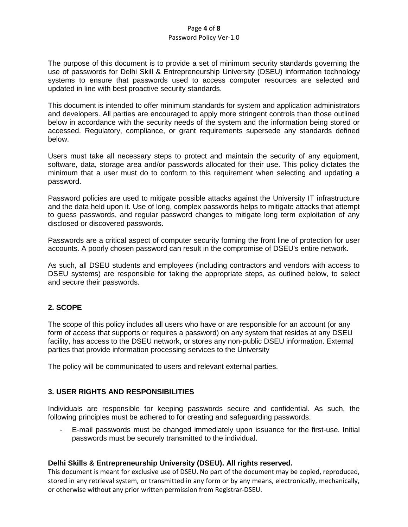#### Page **4** of **8** Password Policy Ver-1.0

The purpose of this document is to provide a set of minimum security standards governing the use of passwords for Delhi Skill & Entrepreneurship University (DSEU) information technology systems to ensure that passwords used to access computer resources are selected and updated in line with best proactive security standards.

This document is intended to offer minimum standards for system and application administrators and developers. All parties are encouraged to apply more stringent controls than those outlined below in accordance with the security needs of the system and the information being stored or accessed. Regulatory, compliance, or grant requirements supersede any standards defined below.

Users must take all necessary steps to protect and maintain the security of any equipment, software, data, storage area and/or passwords allocated for their use. This policy dictates the minimum that a user must do to conform to this requirement when selecting and updating a password.

Password policies are used to mitigate possible attacks against the University IT infrastructure and the data held upon it. Use of long, complex passwords helps to mitigate attacks that attempt to guess passwords, and regular password changes to mitigate long term exploitation of any disclosed or discovered passwords.

Passwords are a critical aspect of computer security forming the front line of protection for user accounts. A poorly chosen password can result in the compromise of DSEU's entire network.

As such, all DSEU students and employees (including contractors and vendors with access to DSEU systems) are responsible for taking the appropriate steps, as outlined below, to select and secure their passwords.

# **2. SCOPE**

The scope of this policy includes all users who have or are responsible for an account (or any form of access that supports or requires a password) on any system that resides at any DSEU facility, has access to the DSEU network, or stores any non-public DSEU information. External parties that provide information processing services to the University

The policy will be communicated to users and relevant external parties.

# **3. USER RIGHTS AND RESPONSIBILITIES**

Individuals are responsible for keeping passwords secure and confidential. As such, the following principles must be adhered to for creating and safeguarding passwords:

- E-mail passwords must be changed immediately upon issuance for the first-use. Initial passwords must be securely transmitted to the individual.

## **Delhi Skills & Entrepreneurship University (DSEU). All rights reserved.**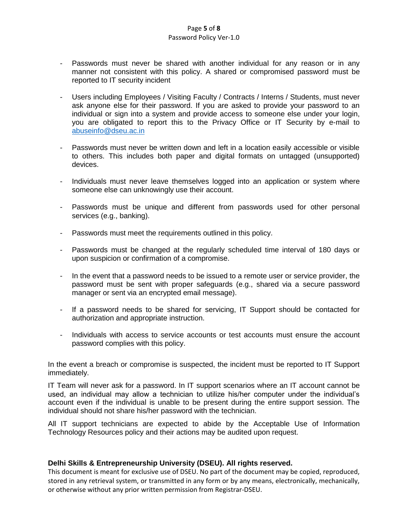#### Page **5** of **8** Password Policy Ver-1.0

- Passwords must never be shared with another individual for any reason or in any manner not consistent with this policy. A shared or compromised password must be reported to IT security incident
- Users including Employees / Visiting Faculty / Contracts / Interns / Students, must never ask anyone else for their password. If you are asked to provide your password to an individual or sign into a system and provide access to someone else under your login, you are obligated to report this to the Privacy Office or IT Security by e-mail to [abuseinfo@dseu.ac.in](mailto:abuseinfo@dseu.ac.in)
- Passwords must never be written down and left in a location easily accessible or visible to others. This includes both paper and digital formats on untagged (unsupported) devices.
- Individuals must never leave themselves logged into an application or system where someone else can unknowingly use their account.
- Passwords must be unique and different from passwords used for other personal services (e.g., banking).
- Passwords must meet the requirements outlined in this policy.
- Passwords must be changed at the regularly scheduled time interval of 180 days or upon suspicion or confirmation of a compromise.
- In the event that a password needs to be issued to a remote user or service provider, the password must be sent with proper safeguards (e.g., shared via a secure password manager or sent via an encrypted email message).
- If a password needs to be shared for servicing, IT Support should be contacted for authorization and appropriate instruction.
- Individuals with access to service accounts or test accounts must ensure the account password complies with this policy.

In the event a breach or compromise is suspected, the incident must be reported to IT Support immediately.

IT Team will never ask for a password. In IT support scenarios where an IT account cannot be used, an individual may allow a technician to utilize his/her computer under the individual's account even if the individual is unable to be present during the entire support session. The individual should not share his/her password with the technician.

All IT support technicians are expected to abide by the Acceptable Use of Information Technology Resources policy and their actions may be audited upon request.

## **Delhi Skills & Entrepreneurship University (DSEU). All rights reserved.**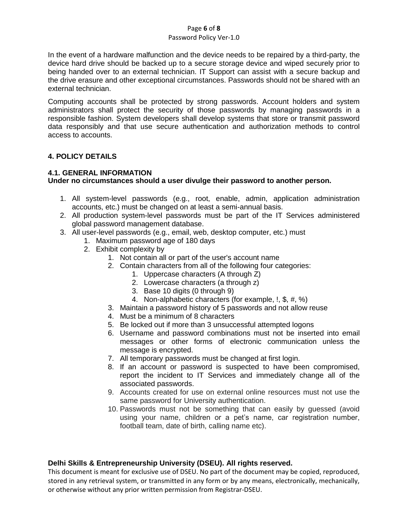## Page **6** of **8**

#### Password Policy Ver-1.0

In the event of a hardware malfunction and the device needs to be repaired by a third-party, the device hard drive should be backed up to a secure storage device and wiped securely prior to being handed over to an external technician. IT Support can assist with a secure backup and the drive erasure and other exceptional circumstances. Passwords should not be shared with an external technician.

Computing accounts shall be protected by strong passwords. Account holders and system administrators shall protect the security of those passwords by managing passwords in a responsible fashion. System developers shall develop systems that store or transmit password data responsibly and that use secure authentication and authorization methods to control access to accounts.

## **4. POLICY DETAILS**

#### **4.1. GENERAL INFORMATION**

## **Under no circumstances should a user divulge their password to another person.**

- 1. All system-level passwords (e.g., root, enable, admin, application administration accounts, etc.) must be changed on at least a semi-annual basis.
- 2. All production system-level passwords must be part of the IT Services administered global password management database.
- 3. All user-level passwords (e.g., email, web, desktop computer, etc.) must
	- 1. Maximum password age of 180 days
	- 2. Exhibit complexity by
		- 1. Not contain all or part of the user's account name
		- 2. Contain characters from all of the following four categories:
			- 1. Uppercase characters (A through Z)
			- 2. Lowercase characters (a through z)
			- 3. Base 10 digits (0 through 9)
			- 4. Non-alphabetic characters (for example, !, \$, #, %)
		- 3. Maintain a password history of 5 passwords and not allow reuse
		- 4. Must be a minimum of 8 characters
		- 5. Be locked out if more than 3 unsuccessful attempted logons
		- 6. Username and password combinations must not be inserted into email messages or other forms of electronic communication unless the message is encrypted.
		- 7. All temporary passwords must be changed at first login.
		- 8. If an account or password is suspected to have been compromised, report the incident to IT Services and immediately change all of the associated passwords.
		- 9. Accounts created for use on external online resources must not use the same password for University authentication.
		- 10. Passwords must not be something that can easily by guessed (avoid using your name, children or a pet's name, car registration number, football team, date of birth, calling name etc).

## **Delhi Skills & Entrepreneurship University (DSEU). All rights reserved.**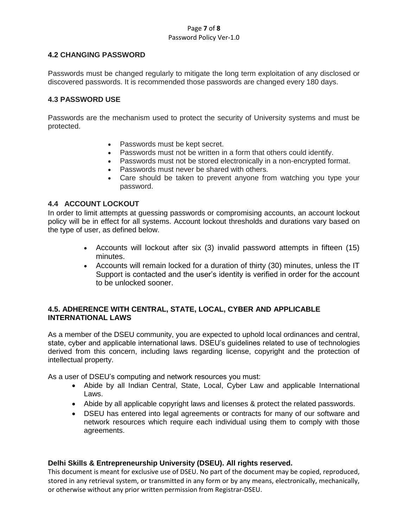#### Page **7** of **8** Password Policy Ver-1.0

# **4.2 CHANGING PASSWORD**

Passwords must be changed regularly to mitigate the long term exploitation of any disclosed or discovered passwords. It is recommended those passwords are changed every 180 days.

## **4.3 PASSWORD USE**

Passwords are the mechanism used to protect the security of University systems and must be protected.

- Passwords must be kept secret.
- Passwords must not be written in a form that others could identify.
- Passwords must not be stored electronically in a non-encrypted format.
- Passwords must never be shared with others.
- Care should be taken to prevent anyone from watching you type your password.

# **4.4 ACCOUNT LOCKOUT**

In order to limit attempts at guessing passwords or compromising accounts, an account lockout policy will be in effect for all systems. Account lockout thresholds and durations vary based on the type of user, as defined below.

- Accounts will lockout after six (3) invalid password attempts in fifteen (15) minutes.
- Accounts will remain locked for a duration of thirty (30) minutes, unless the IT Support is contacted and the user's identity is verified in order for the account to be unlocked sooner.

# **4.5. ADHERENCE WITH CENTRAL, STATE, LOCAL, CYBER AND APPLICABLE INTERNATIONAL LAWS**

As a member of the DSEU community, you are expected to uphold local ordinances and central, state, cyber and applicable international laws. DSEU's guidelines related to use of technologies derived from this concern, including laws regarding license, copyright and the protection of intellectual property.

As a user of DSEU's computing and network resources you must:

- Abide by all Indian Central, State, Local, Cyber Law and applicable International Laws.
- Abide by all applicable copyright laws and licenses & protect the related passwords.
- DSEU has entered into legal agreements or contracts for many of our software and network resources which require each individual using them to comply with those agreements.

## **Delhi Skills & Entrepreneurship University (DSEU). All rights reserved.**